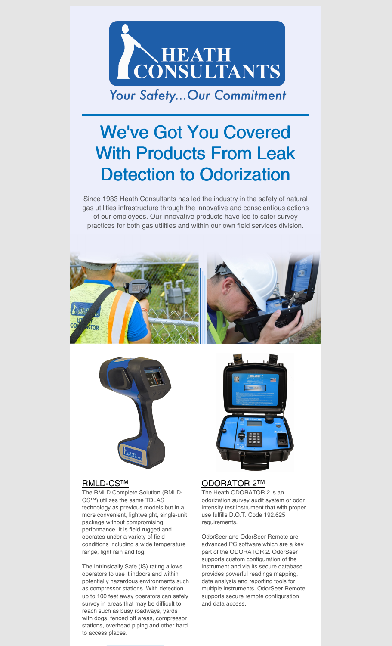

## We've Got You Covered With Products From Leak Detection to Odorization

Since 1933 Heath Consultants has led the industry in the safety of natural gas utilities infrastructure through the innovative and conscientious actions of our employees. Our innovative products have led to safer survey practices for both gas utilities and within our own field services division.





## [RMLD-CS™](https://heathus.com/products/rmld-cs/)

The RMLD Complete Solution (RMLD-CS™) utilizes the same TDLAS technology as previous models but in a more convenient, lightweight, single-unit package without compromising performance. It is field rugged and operates under a variety of field conditions including a wide temperature range, light rain and fog.

The Intrinsically Safe (IS) rating allows operators to use it indoors and within potentially hazardous environments such as compressor stations. With detection up to 100 feet away operators can safely survey in areas that may be difficult to reach such as busy roadways, yards with dogs, fenced off areas, compressor stations, overhead piping and other hard to access places.



## [ODORATOR](https://heathus.com/products/odorator-2/) 2™

The Heath ODORATOR 2 is an odorization survey audit system or odor intensity test instrument that with proper use fulfills D.O.T. Code 192.625 requirements.

OdorSeer and OdorSeer Remote are advanced PC software which are a key part of the ODORATOR 2. OdorSeer supports custom configuration of the instrument and via its secure database provides powerful readings mapping, data analysis and reporting tools for multiple instruments. OdorSeer Remote supports secure remote configuration and data access.